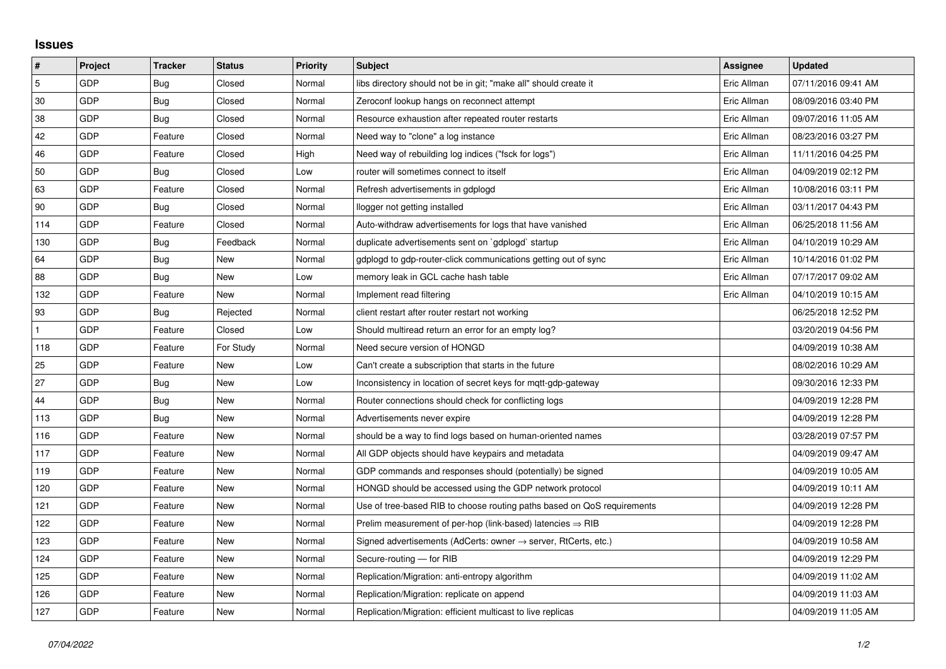## **Issues**

| #   | Project    | <b>Tracker</b> | <b>Status</b> | <b>Priority</b> | <b>Subject</b>                                                             | <b>Assignee</b> | <b>Updated</b>      |
|-----|------------|----------------|---------------|-----------------|----------------------------------------------------------------------------|-----------------|---------------------|
| 5   | GDP        | <b>Bug</b>     | Closed        | Normal          | libs directory should not be in git; "make all" should create it           | Eric Allman     | 07/11/2016 09:41 AM |
| 30  | GDP        | <b>Bug</b>     | Closed        | Normal          | Zeroconf lookup hangs on reconnect attempt                                 | Eric Allman     | 08/09/2016 03:40 PM |
| 38  | GDP        | Bug            | Closed        | Normal          | Resource exhaustion after repeated router restarts                         | Eric Allman     | 09/07/2016 11:05 AM |
| 42  | GDP        | Feature        | Closed        | Normal          | Need way to "clone" a log instance                                         | Eric Allman     | 08/23/2016 03:27 PM |
| 46  | GDP        | Feature        | Closed        | High            | Need way of rebuilding log indices ("fsck for logs")                       | Eric Allman     | 11/11/2016 04:25 PM |
| 50  | GDP        | Bug            | Closed        | Low             | router will sometimes connect to itself                                    | Eric Allman     | 04/09/2019 02:12 PM |
| 63  | GDP        | Feature        | Closed        | Normal          | Refresh advertisements in gdplogd                                          | Eric Allman     | 10/08/2016 03:11 PM |
| 90  | GDP        | Bug            | Closed        | Normal          | llogger not getting installed                                              | Eric Allman     | 03/11/2017 04:43 PM |
| 114 | GDP        | Feature        | Closed        | Normal          | Auto-withdraw advertisements for logs that have vanished                   | Eric Allman     | 06/25/2018 11:56 AM |
| 130 | GDP        | <b>Bug</b>     | Feedback      | Normal          | duplicate advertisements sent on `gdplogd` startup                         | Eric Allman     | 04/10/2019 10:29 AM |
| 64  | GDP        | Bug            | New           | Normal          | gdplogd to gdp-router-click communications getting out of sync             | Eric Allman     | 10/14/2016 01:02 PM |
| 88  | GDP        | Bug            | New           | Low             | memory leak in GCL cache hash table                                        | Eric Allman     | 07/17/2017 09:02 AM |
| 132 | GDP        | Feature        | <b>New</b>    | Normal          | Implement read filtering                                                   | Eric Allman     | 04/10/2019 10:15 AM |
| 93  | GDP        | Bug            | Rejected      | Normal          | client restart after router restart not working                            |                 | 06/25/2018 12:52 PM |
|     | <b>GDP</b> | Feature        | Closed        | Low             | Should multiread return an error for an empty log?                         |                 | 03/20/2019 04:56 PM |
| 118 | GDP        | Feature        | For Study     | Normal          | Need secure version of HONGD                                               |                 | 04/09/2019 10:38 AM |
| 25  | GDP        | Feature        | New           | Low             | Can't create a subscription that starts in the future                      |                 | 08/02/2016 10:29 AM |
| 27  | GDP        | Bug            | New           | Low             | Inconsistency in location of secret keys for mgtt-gdp-gateway              |                 | 09/30/2016 12:33 PM |
| 44  | GDP        | Bug            | <b>New</b>    | Normal          | Router connections should check for conflicting logs                       |                 | 04/09/2019 12:28 PM |
| 113 | GDP        | Bug            | New           | Normal          | Advertisements never expire                                                |                 | 04/09/2019 12:28 PM |
| 116 | GDP        | Feature        | New           | Normal          | should be a way to find logs based on human-oriented names                 |                 | 03/28/2019 07:57 PM |
| 117 | GDP        | Feature        | New           | Normal          | All GDP objects should have keypairs and metadata                          |                 | 04/09/2019 09:47 AM |
| 119 | GDP        | Feature        | New           | Normal          | GDP commands and responses should (potentially) be signed                  |                 | 04/09/2019 10:05 AM |
| 120 | GDP        | Feature        | New           | Normal          | HONGD should be accessed using the GDP network protocol                    |                 | 04/09/2019 10:11 AM |
| 121 | GDP        | Feature        | New           | Normal          | Use of tree-based RIB to choose routing paths based on QoS requirements    |                 | 04/09/2019 12:28 PM |
| 122 | GDP        | Feature        | New           | Normal          | Prelim measurement of per-hop (link-based) latencies $\Rightarrow$ RIB     |                 | 04/09/2019 12:28 PM |
| 123 | GDP        | Feature        | New           | Normal          | Signed advertisements (AdCerts: owner $\rightarrow$ server, RtCerts, etc.) |                 | 04/09/2019 10:58 AM |
| 124 | GDP        | Feature        | New           | Normal          | Secure-routing - for RIB                                                   |                 | 04/09/2019 12:29 PM |
| 125 | GDP        | Feature        | New           | Normal          | Replication/Migration: anti-entropy algorithm                              |                 | 04/09/2019 11:02 AM |
| 126 | GDP        | Feature        | New           | Normal          | Replication/Migration: replicate on append                                 |                 | 04/09/2019 11:03 AM |
| 127 | GDP        | Feature        | New           | Normal          | Replication/Migration: efficient multicast to live replicas                |                 | 04/09/2019 11:05 AM |